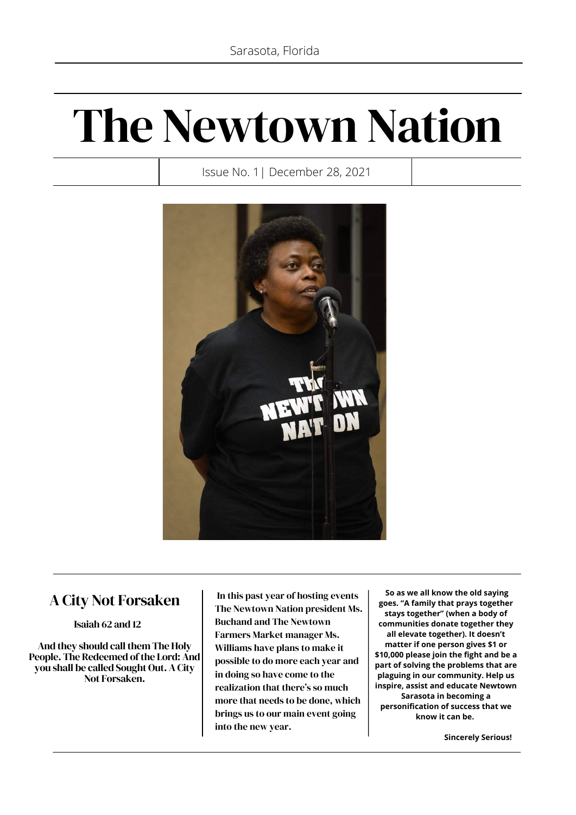# The Newtown Nation

Issue No. 1| December 28, 2021



### A City Not Forsaken

Isaiah 62 and 12

And they should call them The Holy People. The Redeemed of the Lord: And you shall be called Sought Out. A City Not Forsaken.

In this past year of hosting events The Newtown Nation president Ms. Buchand and The Newtown Farmers Market manager Ms. Williams have plans to make it possible to do more each year and in doing so have come to the realization that there's so much more that needs to be done, which brings us to our main event going into the new year.

**So as we all know the old saying goes. "A family that prays together stays together" (when a body of communities donate together they all elevate together). It doesn't matter if one person gives \$1 or \$10,000 please join the fight and be a part of solving the problems that are plaguing in our community. Help us inspire, assist and educate Newtown Sarasota in becoming a personification of success that we know it can be.**

 **Sincerely Serious!**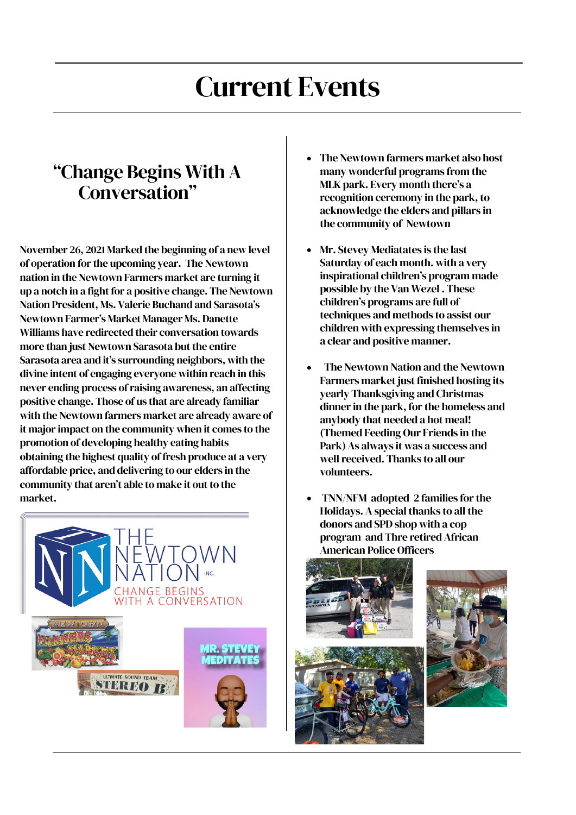# Current Events

# "Change Begins With A Conversation"

November 26, 2021 Marked the beginning of a new level of operation for the upcoming year. The Newtown nation in the Newtown Farmers market are turning it up a notch in a fight for a positive change. The Newtown Nation President, Ms. Valerie Buchand and Sarasota's Newtown Farmer's Market Manager Ms. Danette Williams have redirected their conversation towards more than just Newtown Sarasota but the entire Sarasota area and it's surrounding neighbors, with the divine intent of engaging everyone within reach in this never ending process of raising awareness, an affecting positive change. Those of us that are already familiar with the Newtown farmers market are already aware of it major impact on the community when it comes to the promotion of developing healthy eating habits obtaining the highest quality of fresh produce at a very affordable price, and delivering to our elders in the community that aren't able to make it out to the market.



- The Newtown farmers market also host many wonderful programs from the MLK park. Every month there's a recognition ceremony in the park, to acknowledge the elders and pillars in the community of Newtown
- Mr. Stevey Mediatates is the last Saturday of each month. with a very inspirational children's program made possible by the Van Wezel . These children's programs are full of techniques and methods to assist our children with expressing themselves in a clear and positive manner.
- The Newtown Nation and the Newtown Farmers market just finished hosting its yearly Thanksgiving and Christmas dinner in the park, for the homeless and anybody that needed a hot meal! (Themed Feeding Our Friends in the Park) As always it was a success and well received. Thanks to all our volunteers.
- TNN/NFM adopted 2 families for the Holidays. A special thanks to all the donors and SPD shop with a cop program and Thre retired African American Police Officers